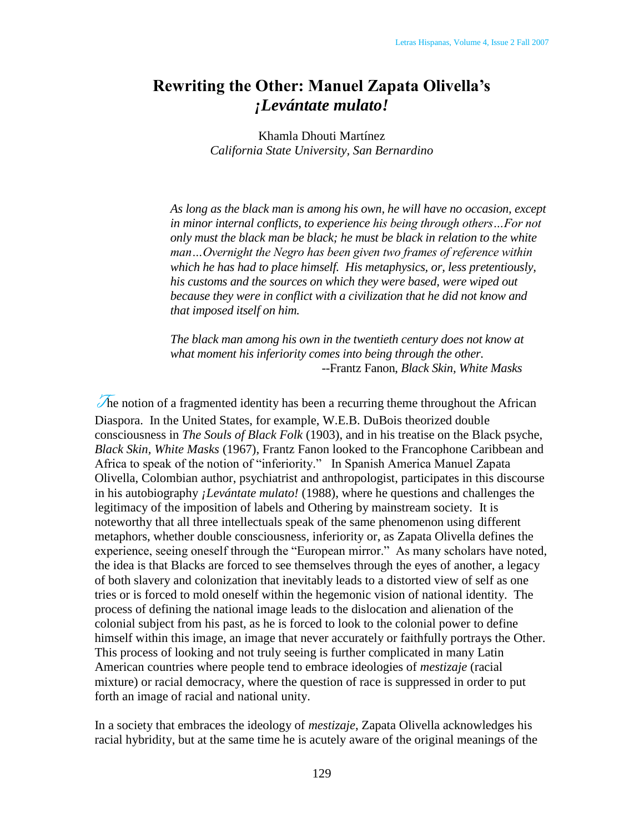## **Rewriting the Other: Manuel Zapata Olivella's**  *¡Levántate mulato!*

Khamla Dhouti Martínez *California State University, San Bernardino*

*As long as the black man is among his own, he will have no occasion, except in minor internal conflicts, to experience his being through others…For not only must the black man be black; he must be black in relation to the white man…Overnight the Negro has been given two frames of reference within which he has had to place himself. His metaphysics, or, less pretentiously, his customs and the sources on which they were based, were wiped out because they were in conflict with a civilization that he did not know and that imposed itself on him.*

*The black man among his own in the twentieth century does not know at what moment his inferiority comes into being through the other.*  --Frantz Fanon, *Black Skin, White Masks*

The notion of a fragmented identity has been a recurring theme throughout the African Diaspora. In the United States, for example, W.E.B. DuBois theorized double consciousness in *The Souls of Black Folk* (1903), and in his treatise on the Black psyche, *Black Skin, White Masks* (1967), Frantz Fanon looked to the Francophone Caribbean and Africa to speak of the notion of "inferiority." In Spanish America Manuel Zapata Olivella, Colombian author, psychiatrist and anthropologist, participates in this discourse in his autobiography *¡Levántate mulato!* (1988), where he questions and challenges the legitimacy of the imposition of labels and Othering by mainstream society. It is noteworthy that all three intellectuals speak of the same phenomenon using different metaphors, whether double consciousness, inferiority or, as Zapata Olivella defines the experience, seeing oneself through the "European mirror." As many scholars have noted, the idea is that Blacks are forced to see themselves through the eyes of another, a legacy of both slavery and colonization that inevitably leads to a distorted view of self as one tries or is forced to mold oneself within the hegemonic vision of national identity. The process of defining the national image leads to the dislocation and alienation of the colonial subject from his past, as he is forced to look to the colonial power to define himself within this image, an image that never accurately or faithfully portrays the Other. This process of looking and not truly seeing is further complicated in many Latin American countries where people tend to embrace ideologies of *mestizaje* (racial mixture) or racial democracy, where the question of race is suppressed in order to put forth an image of racial and national unity.

In a society that embraces the ideology of *mestizaje*, Zapata Olivella acknowledges his racial hybridity, but at the same time he is acutely aware of the original meanings of the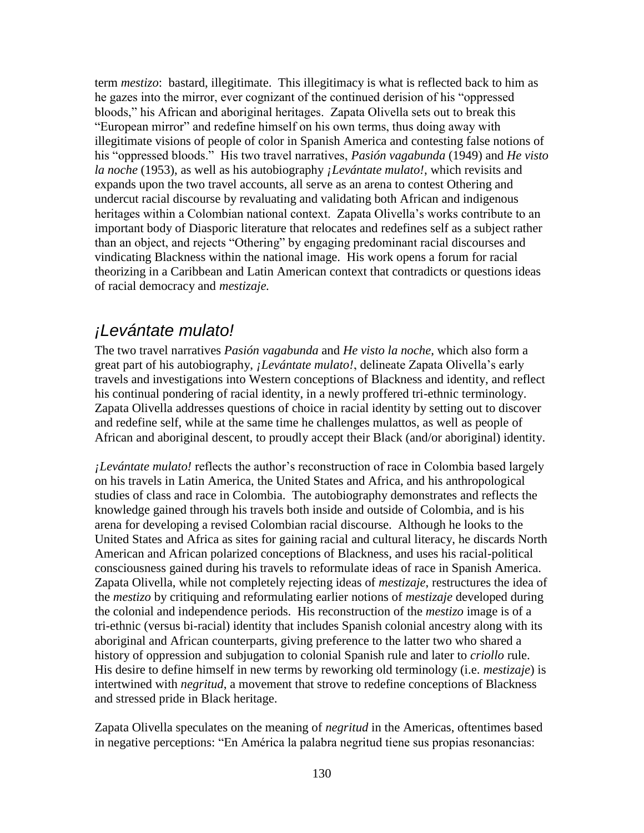term *mestizo*: bastard, illegitimate. This illegitimacy is what is reflected back to him as he gazes into the mirror, ever cognizant of the continued derision of his "oppressed" bloods," his African and aboriginal heritages. Zapata Olivella sets out to break this "European mirror" and redefine himself on his own terms, thus doing away with illegitimate visions of people of color in Spanish America and contesting false notions of his "oppressed bloods." His two travel narratives, *Pasión vagabunda* (1949) and *He visto la noche* (1953), as well as his autobiography *¡Levántate mulato!*, which revisits and expands upon the two travel accounts, all serve as an arena to contest Othering and undercut racial discourse by revaluating and validating both African and indigenous heritages within a Colombian national context. Zapata Olivella's works contribute to an important body of Diasporic literature that relocates and redefines self as a subject rather than an object, and rejects "Othering" by engaging predominant racial discourses and vindicating Blackness within the national image. His work opens a forum for racial theorizing in a Caribbean and Latin American context that contradicts or questions ideas of racial democracy and *mestizaje.*

### *¡Levántate mulato!*

The two travel narratives *Pasión vagabunda* and *He visto la noche*, which also form a great part of his autobiography, *¡Levántate mulato!*, delineate Zapata Olivella's early travels and investigations into Western conceptions of Blackness and identity, and reflect his continual pondering of racial identity, in a newly proffered tri-ethnic terminology. Zapata Olivella addresses questions of choice in racial identity by setting out to discover and redefine self, while at the same time he challenges mulattos, as well as people of African and aboriginal descent, to proudly accept their Black (and/or aboriginal) identity.

*¡Levántate mulato!* reflects the author's reconstruction of race in Colombia based largely on his travels in Latin America, the United States and Africa, and his anthropological studies of class and race in Colombia. The autobiography demonstrates and reflects the knowledge gained through his travels both inside and outside of Colombia, and is his arena for developing a revised Colombian racial discourse. Although he looks to the United States and Africa as sites for gaining racial and cultural literacy, he discards North American and African polarized conceptions of Blackness, and uses his racial-political consciousness gained during his travels to reformulate ideas of race in Spanish America. Zapata Olivella, while not completely rejecting ideas of *mestizaje*, restructures the idea of the *mestizo* by critiquing and reformulating earlier notions of *mestizaje* developed during the colonial and independence periods. His reconstruction of the *mestizo* image is of a tri-ethnic (versus bi-racial) identity that includes Spanish colonial ancestry along with its aboriginal and African counterparts, giving preference to the latter two who shared a history of oppression and subjugation to colonial Spanish rule and later to *criollo* rule. His desire to define himself in new terms by reworking old terminology (i.e. *mestizaje*) is intertwined with *negritud*, a movement that strove to redefine conceptions of Blackness and stressed pride in Black heritage.

Zapata Olivella speculates on the meaning of *negritud* in the Americas, oftentimes based in negative perceptions: "En América la palabra negritud tiene sus propias resonancias: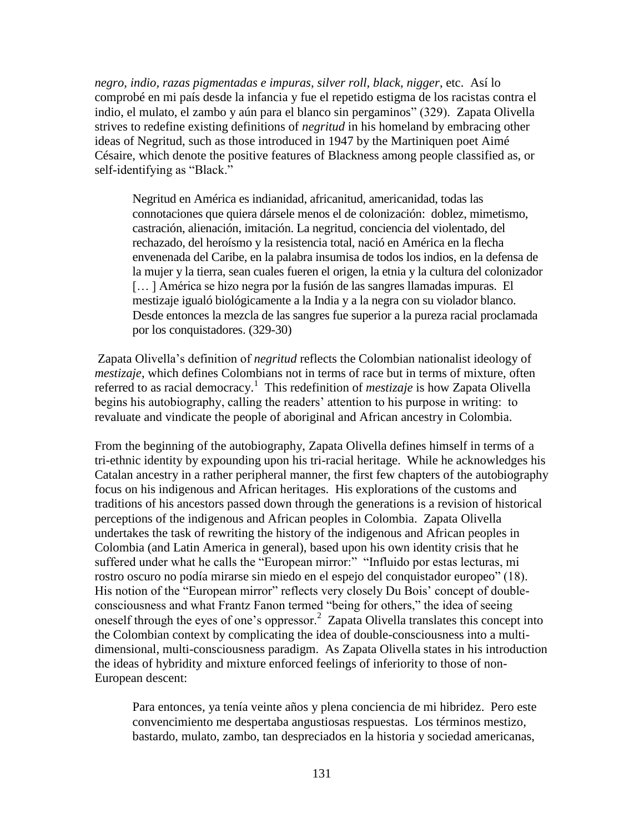*negro, indio, razas pigmentadas e impuras, silver roll, black, nigger*, etc. Así lo comprobé en mi país desde la infancia y fue el repetido estigma de los racistas contra el indio, el mulato, el zambo y aún para el blanco sin pergaminos" (329). Zapata Olivella strives to redefine existing definitions of *negritud* in his homeland by embracing other ideas of Negritud, such as those introduced in 1947 by the Martiniquen poet Aimé Césaire, which denote the positive features of Blackness among people classified as, or self-identifying as "Black."

Negritud en América es indianidad, africanitud, americanidad, todas las connotaciones que quiera dársele menos el de colonización: doblez, mimetismo, castración, alienación, imitación. La negritud, conciencia del violentado, del rechazado, del heroísmo y la resistencia total, nació en América en la flecha envenenada del Caribe, en la palabra insumisa de todos los indios, en la defensa de la mujer y la tierra, sean cuales fueren el origen, la etnia y la cultura del colonizador [… ] América se hizo negra por la fusión de las sangres llamadas impuras. El mestizaje igualó biológicamente a la India y a la negra con su violador blanco. Desde entonces la mezcla de las sangres fue superior a la pureza racial proclamada por los conquistadores. (329-30)

Zapata Olivella's definition of *negritud* reflects the Colombian nationalist ideology of *mestizaje*, which defines Colombians not in terms of race but in terms of mixture, often referred to as racial democracy.<sup>1</sup> This redefinition of *mestizaje* is how Zapata Olivella begins his autobiography, calling the readers' attention to his purpose in writing: to revaluate and vindicate the people of aboriginal and African ancestry in Colombia.

From the beginning of the autobiography, Zapata Olivella defines himself in terms of a tri-ethnic identity by expounding upon his tri-racial heritage. While he acknowledges his Catalan ancestry in a rather peripheral manner, the first few chapters of the autobiography focus on his indigenous and African heritages. His explorations of the customs and traditions of his ancestors passed down through the generations is a revision of historical perceptions of the indigenous and African peoples in Colombia. Zapata Olivella undertakes the task of rewriting the history of the indigenous and African peoples in Colombia (and Latin America in general), based upon his own identity crisis that he suffered under what he calls the "European mirror:" "Influido por estas lecturas, mi rostro oscuro no podía mirarse sin miedo en el espejo del conquistador europeo" (18). His notion of the "European mirror" reflects very closely Du Bois' concept of doubleconsciousness and what Frantz Fanon termed "being for others," the idea of seeing oneself through the eyes of one's oppressor. $2$  Zapata Olivella translates this concept into the Colombian context by complicating the idea of double-consciousness into a multidimensional, multi-consciousness paradigm. As Zapata Olivella states in his introduction the ideas of hybridity and mixture enforced feelings of inferiority to those of non-European descent:

Para entonces, ya tenía veinte años y plena conciencia de mi hibridez. Pero este convencimiento me despertaba angustiosas respuestas. Los términos mestizo, bastardo, mulato, zambo, tan despreciados en la historia y sociedad americanas,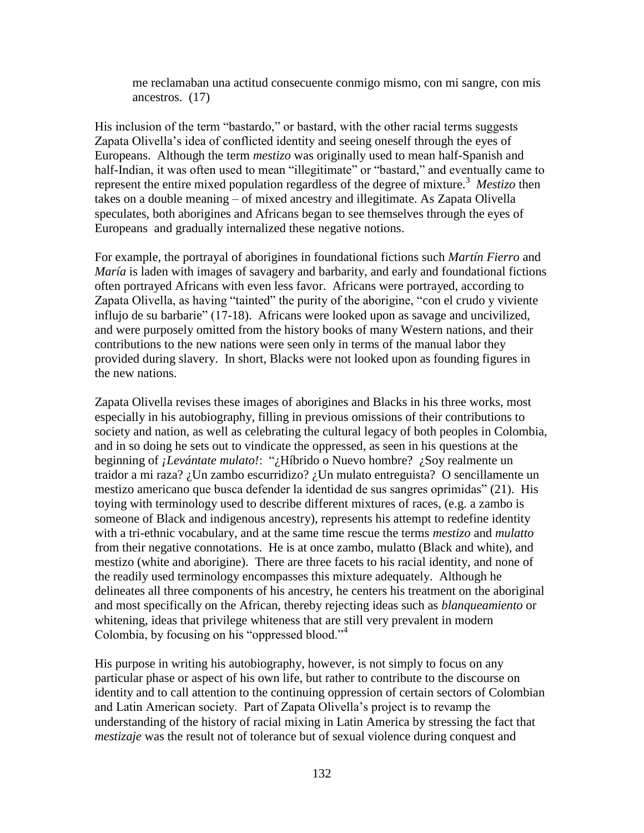me reclamaban una actitud consecuente conmigo mismo, con mi sangre, con mis ancestros. (17)

His inclusion of the term "bastardo," or bastard, with the other racial terms suggests Zapata Olivella's idea of conflicted identity and seeing oneself through the eyes of Europeans. Although the term *mestizo* was originally used to mean half-Spanish and half-Indian, it was often used to mean "illegitimate" or "bastard," and eventually came to represent the entire mixed population regardless of the degree of mixture.<sup>3</sup> Mestizo then takes on a double meaning – of mixed ancestry and illegitimate. As Zapata Olivella speculates, both aborigines and Africans began to see themselves through the eyes of Europeans and gradually internalized these negative notions.

For example, the portrayal of aborigines in foundational fictions such *Martín Fierro* and *María* is laden with images of savagery and barbarity, and early and foundational fictions often portrayed Africans with even less favor. Africans were portrayed, according to Zapata Olivella, as having "tainted" the purity of the aborigine, "con el crudo y viviente influjo de su barbarie" (17-18). Africans were looked upon as savage and uncivilized, and were purposely omitted from the history books of many Western nations, and their contributions to the new nations were seen only in terms of the manual labor they provided during slavery. In short, Blacks were not looked upon as founding figures in the new nations.

Zapata Olivella revises these images of aborigines and Blacks in his three works, most especially in his autobiography, filling in previous omissions of their contributions to society and nation, as well as celebrating the cultural legacy of both peoples in Colombia, and in so doing he sets out to vindicate the oppressed, as seen in his questions at the beginning of *¡Levántate mulato!*: "¿Híbrido o Nuevo hombre? ¿Soy realmente un traidor a mi raza? ¿Un zambo escurridizo? ¿Un mulato entreguista? O sencillamente un mestizo americano que busca defender la identidad de sus sangres oprimidas" (21). His toying with terminology used to describe different mixtures of races, (e.g. a zambo is someone of Black and indigenous ancestry), represents his attempt to redefine identity with a tri-ethnic vocabulary, and at the same time rescue the terms *mestizo* and *mulatto* from their negative connotations. He is at once zambo, mulatto (Black and white), and mestizo (white and aborigine). There are three facets to his racial identity, and none of the readily used terminology encompasses this mixture adequately. Although he delineates all three components of his ancestry, he centers his treatment on the aboriginal and most specifically on the African, thereby rejecting ideas such as *blanqueamiento* or whitening, ideas that privilege whiteness that are still very prevalent in modern Colombia, by focusing on his "oppressed blood." $4$ 

His purpose in writing his autobiography, however, is not simply to focus on any particular phase or aspect of his own life, but rather to contribute to the discourse on identity and to call attention to the continuing oppression of certain sectors of Colombian and Latin American society. Part of Zapata Olivella's project is to revamp the understanding of the history of racial mixing in Latin America by stressing the fact that *mestizaje* was the result not of tolerance but of sexual violence during conquest and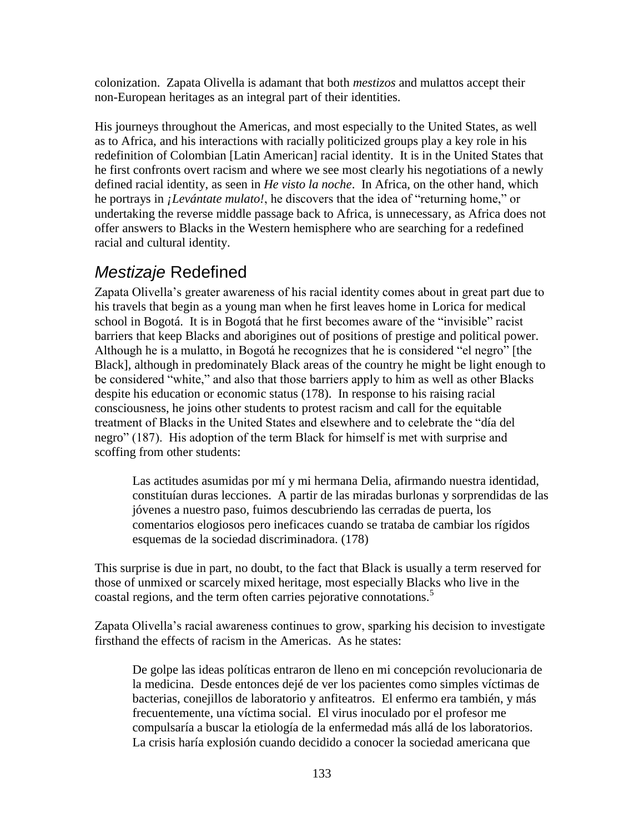colonization. Zapata Olivella is adamant that both *mestizos* and mulattos accept their non-European heritages as an integral part of their identities.

His journeys throughout the Americas, and most especially to the United States, as well as to Africa, and his interactions with racially politicized groups play a key role in his redefinition of Colombian [Latin American] racial identity. It is in the United States that he first confronts overt racism and where we see most clearly his negotiations of a newly defined racial identity, as seen in *He visto la noche*. In Africa, on the other hand, which he portrays in *¡Levántate mulato!*, he discovers that the idea of "returning home," or undertaking the reverse middle passage back to Africa, is unnecessary, as Africa does not offer answers to Blacks in the Western hemisphere who are searching for a redefined racial and cultural identity.

# *Mestizaje* Redefined

Zapata Olivella's greater awareness of his racial identity comes about in great part due to his travels that begin as a young man when he first leaves home in Lorica for medical school in Bogotá. It is in Bogotá that he first becomes aware of the "invisible" racist barriers that keep Blacks and aborigines out of positions of prestige and political power. Although he is a mulatto, in Bogotá he recognizes that he is considered "el negro" [the Black], although in predominately Black areas of the country he might be light enough to be considered "white," and also that those barriers apply to him as well as other Blacks despite his education or economic status (178). In response to his raising racial consciousness, he joins other students to protest racism and call for the equitable treatment of Blacks in the United States and elsewhere and to celebrate the "día del negro" (187). His adoption of the term Black for himself is met with surprise and scoffing from other students:

Las actitudes asumidas por mí y mi hermana Delia, afirmando nuestra identidad, constituían duras lecciones. A partir de las miradas burlonas y sorprendidas de las jóvenes a nuestro paso, fuimos descubriendo las cerradas de puerta, los comentarios elogiosos pero ineficaces cuando se trataba de cambiar los rígidos esquemas de la sociedad discriminadora. (178)

This surprise is due in part, no doubt, to the fact that Black is usually a term reserved for those of unmixed or scarcely mixed heritage, most especially Blacks who live in the coastal regions, and the term often carries pejorative connotations.<sup>5</sup>

Zapata Olivella's racial awareness continues to grow, sparking his decision to investigate firsthand the effects of racism in the Americas. As he states:

De golpe las ideas políticas entraron de lleno en mi concepción revolucionaria de la medicina. Desde entonces dejé de ver los pacientes como simples víctimas de bacterias, conejillos de laboratorio y anfiteatros. El enfermo era también, y más frecuentemente, una víctima social. El virus inoculado por el profesor me compulsaría a buscar la etiología de la enfermedad más allá de los laboratorios. La crisis haría explosión cuando decidido a conocer la sociedad americana que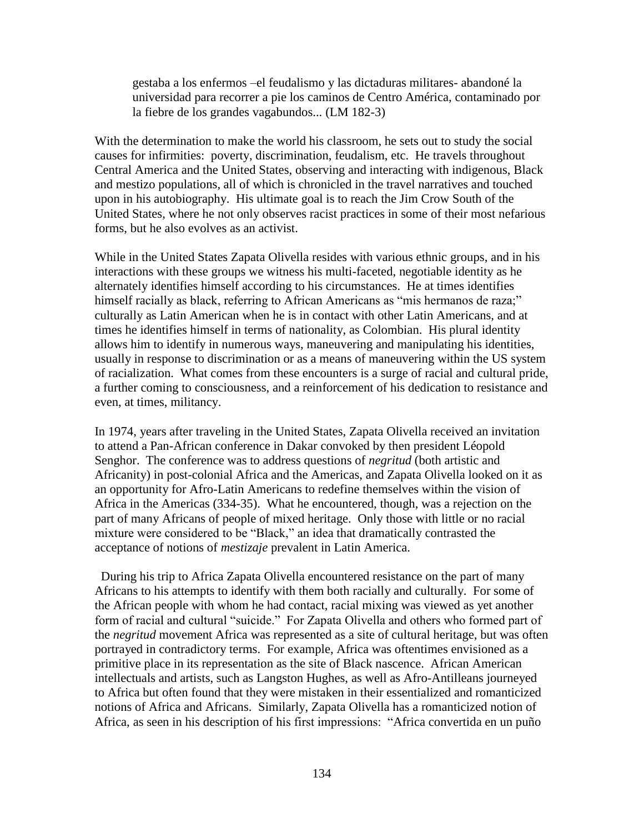gestaba a los enfermos –el feudalismo y las dictaduras militares- abandoné la universidad para recorrer a pie los caminos de Centro América, contaminado por la fiebre de los grandes vagabundos... (LM 182-3)

With the determination to make the world his classroom, he sets out to study the social causes for infirmities: poverty, discrimination, feudalism, etc. He travels throughout Central America and the United States, observing and interacting with indigenous, Black and mestizo populations, all of which is chronicled in the travel narratives and touched upon in his autobiography. His ultimate goal is to reach the Jim Crow South of the United States, where he not only observes racist practices in some of their most nefarious forms, but he also evolves as an activist.

While in the United States Zapata Olivella resides with various ethnic groups, and in his interactions with these groups we witness his multi-faceted, negotiable identity as he alternately identifies himself according to his circumstances. He at times identifies himself racially as black, referring to African Americans as "mis hermanos de raza;" culturally as Latin American when he is in contact with other Latin Americans, and at times he identifies himself in terms of nationality, as Colombian. His plural identity allows him to identify in numerous ways, maneuvering and manipulating his identities, usually in response to discrimination or as a means of maneuvering within the US system of racialization. What comes from these encounters is a surge of racial and cultural pride, a further coming to consciousness, and a reinforcement of his dedication to resistance and even, at times, militancy.

In 1974, years after traveling in the United States, Zapata Olivella received an invitation to attend a Pan-African conference in Dakar convoked by then president Léopold Senghor. The conference was to address questions of *negritud* (both artistic and Africanity) in post-colonial Africa and the Americas, and Zapata Olivella looked on it as an opportunity for Afro-Latin Americans to redefine themselves within the vision of Africa in the Americas (334-35). What he encountered, though, was a rejection on the part of many Africans of people of mixed heritage. Only those with little or no racial mixture were considered to be "Black," an idea that dramatically contrasted the acceptance of notions of *mestizaje* prevalent in Latin America.

 During his trip to Africa Zapata Olivella encountered resistance on the part of many Africans to his attempts to identify with them both racially and culturally. For some of the African people with whom he had contact, racial mixing was viewed as yet another form of racial and cultural "suicide." For Zapata Olivella and others who formed part of the *negritud* movement Africa was represented as a site of cultural heritage, but was often portrayed in contradictory terms. For example, Africa was oftentimes envisioned as a primitive place in its representation as the site of Black nascence. African American intellectuals and artists, such as Langston Hughes, as well as Afro-Antilleans journeyed to Africa but often found that they were mistaken in their essentialized and romanticized notions of Africa and Africans. Similarly, Zapata Olivella has a romanticized notion of Africa, as seen in his description of his first impressions: "Africa convertida en un puño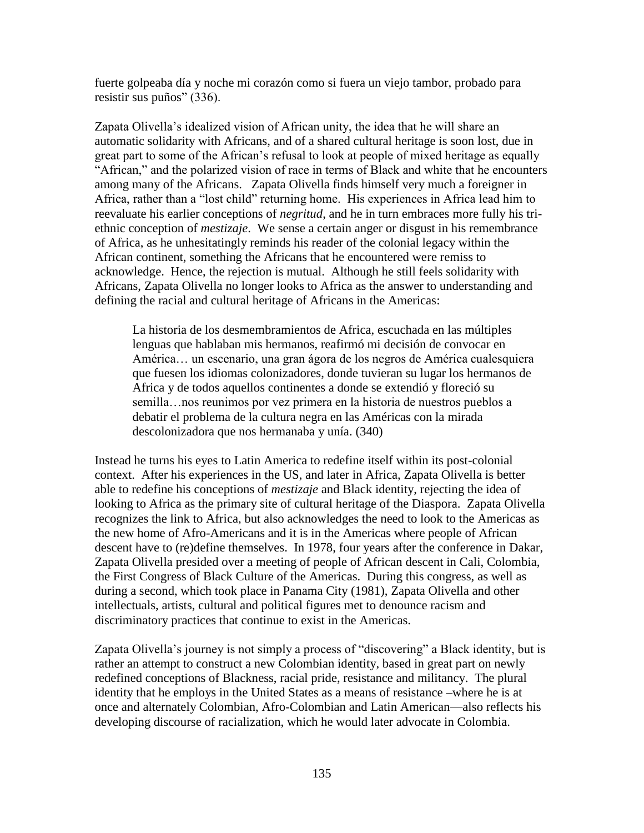fuerte golpeaba día y noche mi corazón como si fuera un viejo tambor, probado para resistir sus puños" (336).

Zapata Olivella's idealized vision of African unity, the idea that he will share an automatic solidarity with Africans, and of a shared cultural heritage is soon lost, due in great part to some of the African's refusal to look at people of mixed heritage as equally "African," and the polarized vision of race in terms of Black and white that he encounters among many of the Africans. Zapata Olivella finds himself very much a foreigner in Africa, rather than a "lost child" returning home. His experiences in Africa lead him to reevaluate his earlier conceptions of *negritud*, and he in turn embraces more fully his triethnic conception of *mestizaje*. We sense a certain anger or disgust in his remembrance of Africa, as he unhesitatingly reminds his reader of the colonial legacy within the African continent, something the Africans that he encountered were remiss to acknowledge. Hence, the rejection is mutual. Although he still feels solidarity with Africans, Zapata Olivella no longer looks to Africa as the answer to understanding and defining the racial and cultural heritage of Africans in the Americas:

La historia de los desmembramientos de Africa, escuchada en las múltiples lenguas que hablaban mis hermanos, reafirmó mi decisión de convocar en América… un escenario, una gran ágora de los negros de América cualesquiera que fuesen los idiomas colonizadores, donde tuvieran su lugar los hermanos de Africa y de todos aquellos continentes a donde se extendió y floreció su semilla…nos reunimos por vez primera en la historia de nuestros pueblos a debatir el problema de la cultura negra en las Américas con la mirada descolonizadora que nos hermanaba y unía. (340)

Instead he turns his eyes to Latin America to redefine itself within its post-colonial context. After his experiences in the US, and later in Africa, Zapata Olivella is better able to redefine his conceptions of *mestizaje* and Black identity, rejecting the idea of looking to Africa as the primary site of cultural heritage of the Diaspora. Zapata Olivella recognizes the link to Africa, but also acknowledges the need to look to the Americas as the new home of Afro-Americans and it is in the Americas where people of African descent have to (re)define themselves. In 1978, four years after the conference in Dakar, Zapata Olivella presided over a meeting of people of African descent in Cali, Colombia, the First Congress of Black Culture of the Americas. During this congress, as well as during a second, which took place in Panama City (1981), Zapata Olivella and other intellectuals, artists, cultural and political figures met to denounce racism and discriminatory practices that continue to exist in the Americas.

Zapata Olivella's journey is not simply a process of "discovering" a Black identity, but is rather an attempt to construct a new Colombian identity, based in great part on newly redefined conceptions of Blackness, racial pride, resistance and militancy. The plural identity that he employs in the United States as a means of resistance –where he is at once and alternately Colombian, Afro-Colombian and Latin American—also reflects his developing discourse of racialization, which he would later advocate in Colombia.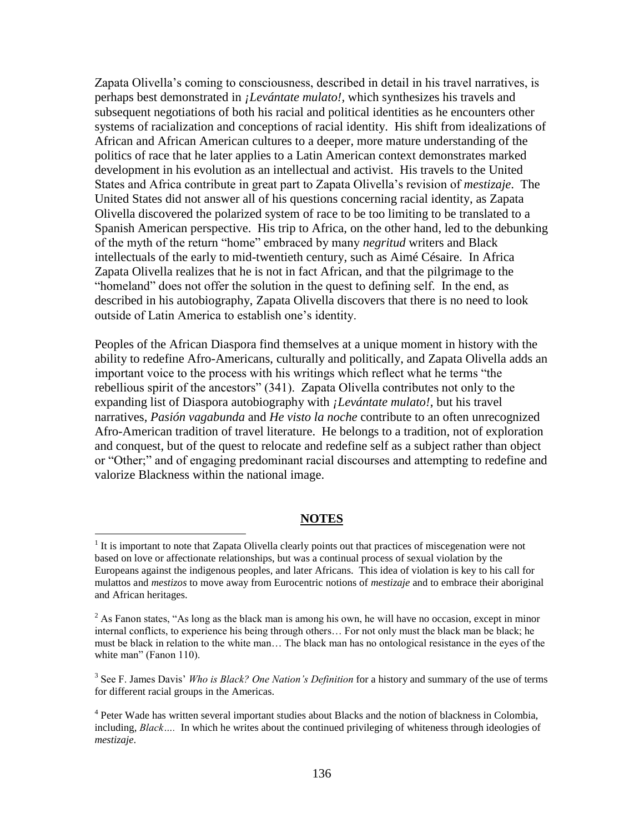Zapata Olivella's coming to consciousness, described in detail in his travel narratives, is perhaps best demonstrated in *¡Levántate mulato!,* which synthesizes his travels and subsequent negotiations of both his racial and political identities as he encounters other systems of racialization and conceptions of racial identity. His shift from idealizations of African and African American cultures to a deeper, more mature understanding of the politics of race that he later applies to a Latin American context demonstrates marked development in his evolution as an intellectual and activist. His travels to the United States and Africa contribute in great part to Zapata Olivella's revision of *mestizaje*. The United States did not answer all of his questions concerning racial identity, as Zapata Olivella discovered the polarized system of race to be too limiting to be translated to a Spanish American perspective. His trip to Africa, on the other hand, led to the debunking of the myth of the return "home" embraced by many *negritud* writers and Black intellectuals of the early to mid-twentieth century, such as Aimé Césaire. In Africa Zapata Olivella realizes that he is not in fact African, and that the pilgrimage to the "homeland" does not offer the solution in the quest to defining self. In the end, as described in his autobiography, Zapata Olivella discovers that there is no need to look outside of Latin America to establish one's identity.

Peoples of the African Diaspora find themselves at a unique moment in history with the ability to redefine Afro-Americans, culturally and politically, and Zapata Olivella adds an important voice to the process with his writings which reflect what he terms "the rebellious spirit of the ancestors" (341). Zapata Olivella contributes not only to the expanding list of Diaspora autobiography with *¡Levántate mulato!*, but his travel narratives, *Pasión vagabunda* and *He visto la noche* contribute to an often unrecognized Afro-American tradition of travel literature. He belongs to a tradition, not of exploration and conquest, but of the quest to relocate and redefine self as a subject rather than object or "Other;" and of engaging predominant racial discourses and attempting to redefine and valorize Blackness within the national image.

### **NOTES**

 $\overline{a}$ 

 $1$  It is important to note that Zapata Olivella clearly points out that practices of miscegenation were not based on love or affectionate relationships, but was a continual process of sexual violation by the Europeans against the indigenous peoples, and later Africans. This idea of violation is key to his call for mulattos and *mestizos* to move away from Eurocentric notions of *mestizaje* and to embrace their aboriginal and African heritages.

<sup>&</sup>lt;sup>2</sup> As Fanon states, "As long as the black man is among his own, he will have no occasion, except in minor internal conflicts, to experience his being through others… For not only must the black man be black; he must be black in relation to the white man… The black man has no ontological resistance in the eyes of the white man" (Fanon 110).

<sup>3</sup> See F. James Davis' *Who is Black? One Nation's Definition* for a history and summary of the use of terms for different racial groups in the Americas.

<sup>&</sup>lt;sup>4</sup> Peter Wade has written several important studies about Blacks and the notion of blackness in Colombia, including, *Black….* In which he writes about the continued privileging of whiteness through ideologies of *mestizaje*.